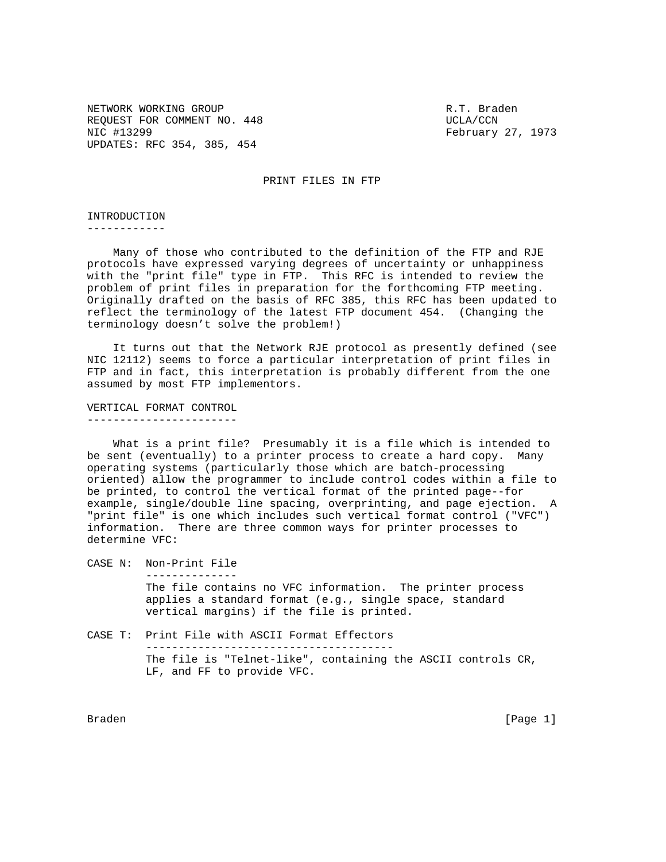NETWORK WORKING GROUP **RATE IN THE SERVICE SERVICE SERVICE A** PARTY Braden REQUEST FOR COMMENT NO. 448 UCLA/CCN NIC #13299 February 27, 1973 UPDATES: RFC 354, 385, 454

PRINT FILES IN FTP

INTRODUCTION

------------

 Many of those who contributed to the definition of the FTP and RJE protocols have expressed varying degrees of uncertainty or unhappiness with the "print file" type in FTP. This RFC is intended to review the problem of print files in preparation for the forthcoming FTP meeting. Originally drafted on the basis of RFC 385, this RFC has been updated to reflect the terminology of the latest FTP document 454. (Changing the terminology doesn't solve the problem!)

 It turns out that the Network RJE protocol as presently defined (see NIC 12112) seems to force a particular interpretation of print files in FTP and in fact, this interpretation is probably different from the one assumed by most FTP implementors.

VERTICAL FORMAT CONTROL -----------------------

 What is a print file? Presumably it is a file which is intended to be sent (eventually) to a printer process to create a hard copy. Many operating systems (particularly those which are batch-processing oriented) allow the programmer to include control codes within a file to be printed, to control the vertical format of the printed page--for example, single/double line spacing, overprinting, and page ejection. A "print file" is one which includes such vertical format control ("VFC") information. There are three common ways for printer processes to determine VFC:

CASE N: Non-Print File --------------

> The file contains no VFC information. The printer process applies a standard format (e.g., single space, standard vertical margins) if the file is printed.

CASE T: Print File with ASCII Format Effectors -------------------------------------- The file is "Telnet-like", containing the ASCII controls CR, LF, and FF to provide VFC.

Braden [Page 1]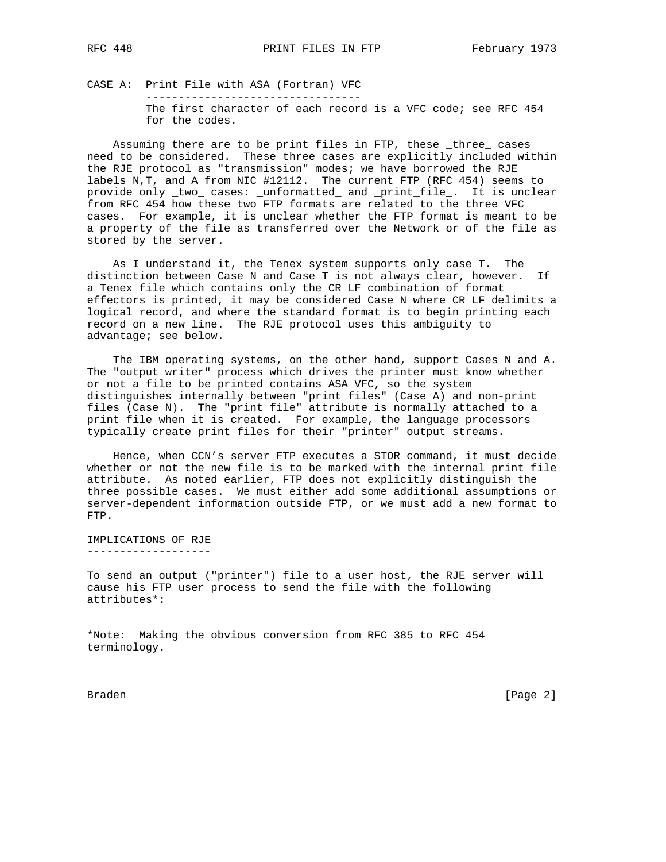CASE A: Print File with ASA (Fortran) VFC --------------------------------- The first character of each record is a VFC code; see RFC 454 for the codes.

 Assuming there are to be print files in FTP, these \_three\_ cases need to be considered. These three cases are explicitly included within the RJE protocol as "transmission" modes; we have borrowed the RJE labels N,T, and A from NIC #12112. The current FTP (RFC 454) seems to provide only \_two\_ cases: \_unformatted\_ and \_print\_file\_. It is unclear from RFC 454 how these two FTP formats are related to the three VFC cases. For example, it is unclear whether the FTP format is meant to be a property of the file as transferred over the Network or of the file as stored by the server.

 As I understand it, the Tenex system supports only case T. The distinction between Case N and Case T is not always clear, however. If a Tenex file which contains only the CR LF combination of format effectors is printed, it may be considered Case N where CR LF delimits a logical record, and where the standard format is to begin printing each record on a new line. The RJE protocol uses this ambiguity to advantage; see below.

 The IBM operating systems, on the other hand, support Cases N and A. The "output writer" process which drives the printer must know whether or not a file to be printed contains ASA VFC, so the system distinguishes internally between "print files" (Case A) and non-print files (Case N). The "print file" attribute is normally attached to a print file when it is created. For example, the language processors typically create print files for their "printer" output streams.

 Hence, when CCN's server FTP executes a STOR command, it must decide whether or not the new file is to be marked with the internal print file attribute. As noted earlier, FTP does not explicitly distinguish the three possible cases. We must either add some additional assumptions or server-dependent information outside FTP, or we must add a new format to FTP.

IMPLICATIONS OF RJE -------------------

To send an output ("printer") file to a user host, the RJE server will cause his FTP user process to send the file with the following attributes\*:

\*Note: Making the obvious conversion from RFC 385 to RFC 454 terminology.

Braden **Example 19** (Page 2)